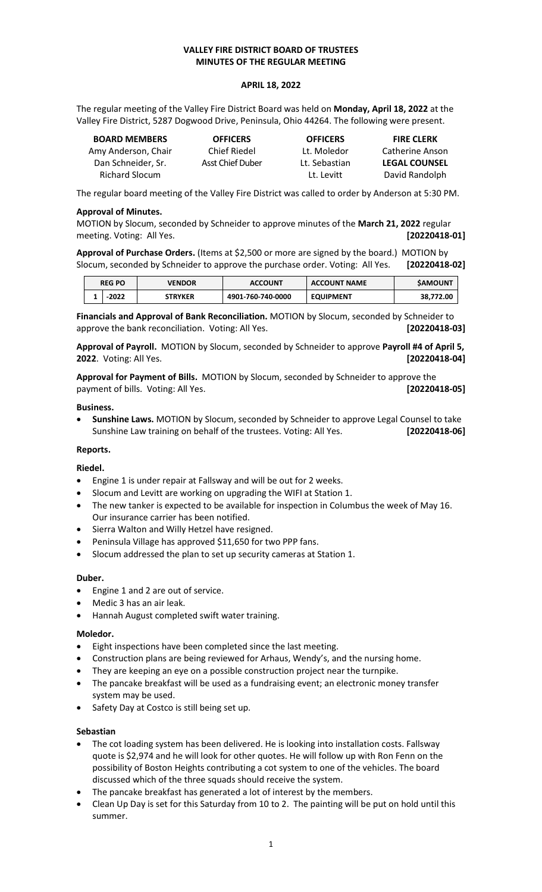## **VALLEY FIRE DISTRICT BOARD OF TRUSTEES MINUTES OF THE REGULAR MEETING**

### **APRIL 18, 2022**

The regular meeting of the Valley Fire District Board was held on **Monday, April 18, 2022** at the Valley Fire District, 5287 Dogwood Drive, Peninsula, Ohio 44264. The following were present.

| <b>BOARD MEMBERS</b>  | <b>OFFICERS</b>     | <b>OFFICERS</b> | <b>FIRE CLERK</b>    |
|-----------------------|---------------------|-----------------|----------------------|
| Amy Anderson, Chair   | <b>Chief Riedel</b> | Lt. Moledor     | Catherine Anson      |
| Dan Schneider. Sr.    | Asst Chief Duber    | Lt. Sebastian   | <b>LEGAL COUNSEL</b> |
| <b>Richard Slocum</b> |                     | Lt. Levitt      | David Randolph       |

The regular board meeting of the Valley Fire District was called to order by Anderson at 5:30 PM.

#### **Approval of Minutes.**

MOTION by Slocum, seconded by Schneider to approve minutes of the **March 21, 2022** regular meeting. Voting: All Yes. **[20220418-01]**

**Approval of Purchase Orders.** (Items at \$2,500 or more are signed by the board.) MOTION by Slocum, seconded by Schneider to approve the purchase order. Voting: All Yes. **[20220418-02]**

| <b>REG PO</b> | <b>VENDOR</b>  | <b>ACCOUNT</b>    | <b>ACCOUNT NAME</b> | <b>SAMOUNT</b> |
|---------------|----------------|-------------------|---------------------|----------------|
| $-2022$       | <b>STRYKER</b> | 4901-760-740-0000 | <b>EQUIPMENT</b>    | 38.772.00      |

**Financials and Approval of Bank Reconciliation.** MOTION by Slocum, seconded by Schneider to approve the bank reconciliation. Voting: All Yes. **[20220418-03]**

**Approval of Payroll.** MOTION by Slocum, seconded by Schneider to approve **Payroll #4 of April 5, 2022**. Voting: All Yes. **[20220418-04]**

**Approval for Payment of Bills.** MOTION by Slocum, seconded by Schneider to approve the payment of bills. Voting: All Yes. **[20220418-05]**

#### **Business.**

• **Sunshine Laws.** MOTION by Slocum, seconded by Schneider to approve Legal Counsel to take Sunshine Law training on behalf of the trustees. Voting: All Yes. **[20220418-06]**

### **Reports.**

### **Riedel.**

- Engine 1 is under repair at Fallsway and will be out for 2 weeks.
- Slocum and Levitt are working on upgrading the WIFI at Station 1.
- The new tanker is expected to be available for inspection in Columbus the week of May 16. Our insurance carrier has been notified.
- Sierra Walton and Willy Hetzel have resigned.
- Peninsula Village has approved \$11,650 for two PPP fans.
- Slocum addressed the plan to set up security cameras at Station 1.

### **Duber.**

- Engine 1 and 2 are out of service.
- Medic 3 has an air leak.
- Hannah August completed swift water training.

### **Moledor.**

- Eight inspections have been completed since the last meeting.
- Construction plans are being reviewed for Arhaus, Wendy's, and the nursing home.
- They are keeping an eye on a possible construction project near the turnpike.
- The pancake breakfast will be used as a fundraising event; an electronic money transfer system may be used.
- Safety Day at Costco is still being set up.

### **Sebastian**

- The cot loading system has been delivered. He is looking into installation costs. Fallsway quote is \$2,974 and he will look for other quotes. He will follow up with Ron Fenn on the possibility of Boston Heights contributing a cot system to one of the vehicles. The board discussed which of the three squads should receive the system.
- The pancake breakfast has generated a lot of interest by the members.
- Clean Up Day is set for this Saturday from 10 to 2. The painting will be put on hold until this summer.